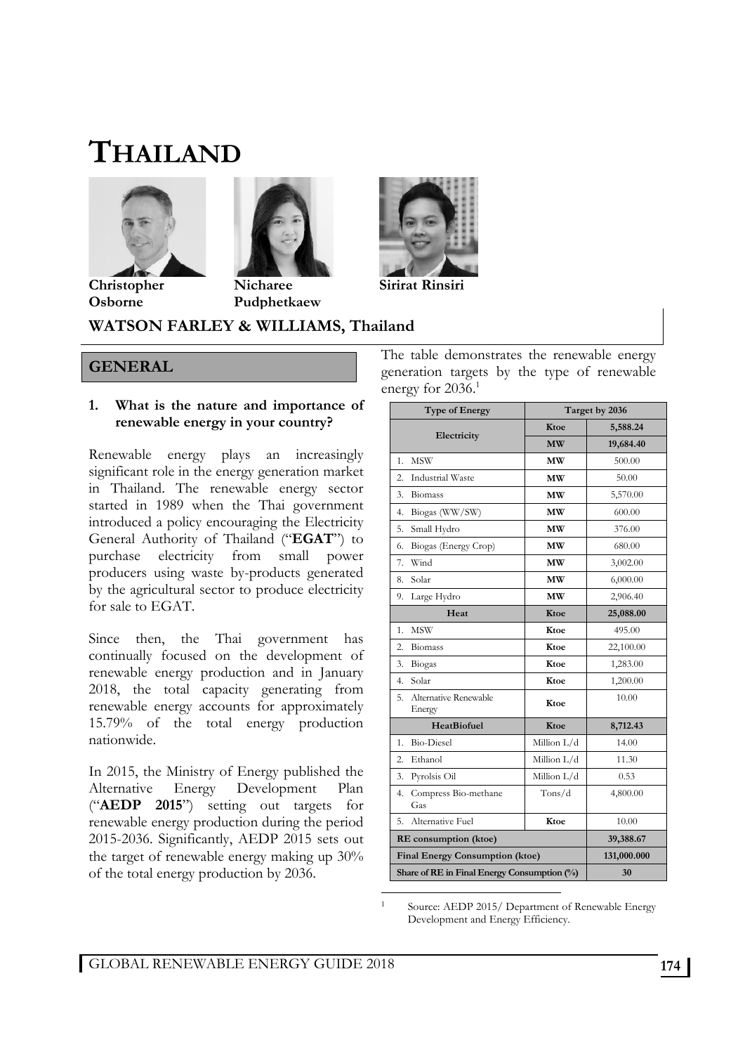# **THAILAND**





**Christopher Osborne** 

**Nicharee Pudphetkaew** 



#### **GENERAL**

#### **1. What is the nature and importance of renewable energy in your country?**

Renewable energy plays an increasingly significant role in the energy generation market in Thailand. The renewable energy sector started in 1989 when the Thai government introduced a policy encouraging the Electricity General Authority of Thailand ("**EGAT**") to purchase electricity from small power producers using waste by-products generated by the agricultural sector to produce electricity for sale to EGAT.

Since then, the Thai government has continually focused on the development of renewable energy production and in January 2018, the total capacity generating from renewable energy accounts for approximately 15.79% of the total energy production nationwide.

In 2015, the Ministry of Energy published the Alternative Energy Development Plan ("**AEDP 2015**") setting out targets for renewable energy production during the period 2015-2036. Significantly, AEDP 2015 sets out the target of renewable energy making up 30% of the total energy production by 2036.

The table demonstrates the renewable energy generation targets by the type of renewable energy for 2036.<sup>1</sup>

**Sirirat Rinsiri** 

| <b>Type of Energy</b>                       | Target by 2036 |           |  |
|---------------------------------------------|----------------|-----------|--|
| Electricity                                 | Ktoe           | 5,588.24  |  |
|                                             | <b>MW</b>      | 19,684.40 |  |
| <b>MSW</b><br>1.                            | MW             | 500.00    |  |
| <b>Industrial Waste</b><br>2.               | MW             | 50.00     |  |
| 3.<br>Biomass                               | MW             | 5,570.00  |  |
| 4.<br>Biogas (WW/SW)                        | MW             | 600.00    |  |
| 5.<br>Small Hydro                           | <b>MW</b>      | 376.00    |  |
| 6.<br>Biogas (Energy Crop)                  | MW             | 680.00    |  |
| 7.<br>Wind                                  | МW             | 3,002.00  |  |
| Solar<br>8.                                 | MW             | 6,000.00  |  |
| 9.<br>Large Hydro                           | МW             | 2,906.40  |  |
| Heat                                        | Ktoe           | 25,088.00 |  |
| <b>MSW</b><br>1.                            | Ktoe           | 495.00    |  |
| 2.<br>Biomass                               | Ktoe           | 22,100.00 |  |
| 3.<br>Biogas                                | Ktoe           | 1,283.00  |  |
| Solar<br>4.                                 | Ktoe           | 1,200.00  |  |
| Alternative Renewable<br>5.<br>Energy       | Ktoe           | 10.00     |  |
| <b>HeatBiofuel</b>                          | Ktoe           | 8,712.43  |  |
| <b>Bio-Diesel</b><br>1.                     | Million L/d    | 14.00     |  |
| 2.<br>Ethanol                               | Million L/d    | 11.30     |  |
| 3.<br>Pyrolsis Oil                          | Million L/d    | 0.53      |  |
| 4.<br>Compress Bio-methane<br>Gas           | $T$ ons/d      | 4,800.00  |  |
| Alternative Fuel<br>5.                      | Ktoe           | 10.00     |  |
| RE consumption (ktoe)                       | 39,388.67      |           |  |
| <b>Final Energy Consumption (ktoe)</b>      | 131,000.000    |           |  |
| Share of RE in Final Energy Consumption (%) | 30             |           |  |

1 Source: AEDP 2015/ Department of Renewable Energy Development and Energy Efficiency.

<sup>-</sup>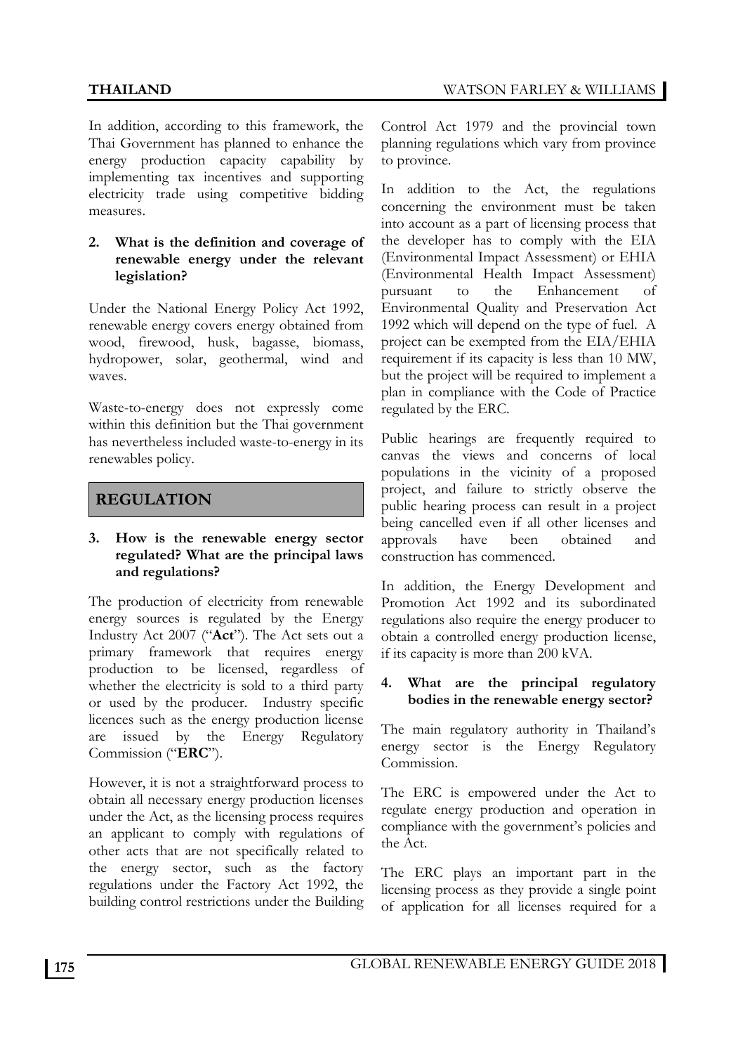In addition, according to this framework, the Thai Government has planned to enhance the energy production capacity capability by implementing tax incentives and supporting electricity trade using competitive bidding measures.

#### **2. What is the definition and coverage of renewable energy under the relevant legislation?**

Under the National Energy Policy Act 1992, renewable energy covers energy obtained from wood, firewood, husk, bagasse, biomass, hydropower, solar, geothermal, wind and waves.

Waste-to-energy does not expressly come within this definition but the Thai government has nevertheless included waste-to-energy in its renewables policy.

## **REGULATION**

#### **3. How is the renewable energy sector regulated? What are the principal laws and regulations?**

The production of electricity from renewable energy sources is regulated by the Energy Industry Act 2007 ("**Act**"). The Act sets out a primary framework that requires energy production to be licensed, regardless of whether the electricity is sold to a third party or used by the producer. Industry specific licences such as the energy production license are issued by the Energy Regulatory Commission ("**ERC**").

However, it is not a straightforward process to obtain all necessary energy production licenses under the Act, as the licensing process requires an applicant to comply with regulations of other acts that are not specifically related to the energy sector, such as the factory regulations under the Factory Act 1992, the building control restrictions under the Building Control Act 1979 and the provincial town planning regulations which vary from province to province.

In addition to the Act, the regulations concerning the environment must be taken into account as a part of licensing process that the developer has to comply with the EIA (Environmental Impact Assessment) or EHIA (Environmental Health Impact Assessment) pursuant to the Enhancement of Environmental Quality and Preservation Act 1992 which will depend on the type of fuel. A project can be exempted from the EIA/EHIA requirement if its capacity is less than 10 MW, but the project will be required to implement a plan in compliance with the Code of Practice regulated by the ERC.

Public hearings are frequently required to canvas the views and concerns of local populations in the vicinity of a proposed project, and failure to strictly observe the public hearing process can result in a project being cancelled even if all other licenses and approvals have been obtained and construction has commenced.

In addition, the Energy Development and Promotion Act 1992 and its subordinated regulations also require the energy producer to obtain a controlled energy production license, if its capacity is more than 200 kVA.

#### **4. What are the principal regulatory bodies in the renewable energy sector?**

The main regulatory authority in Thailand's energy sector is the Energy Regulatory Commission.

The ERC is empowered under the Act to regulate energy production and operation in compliance with the government's policies and the Act.

The ERC plays an important part in the licensing process as they provide a single point of application for all licenses required for a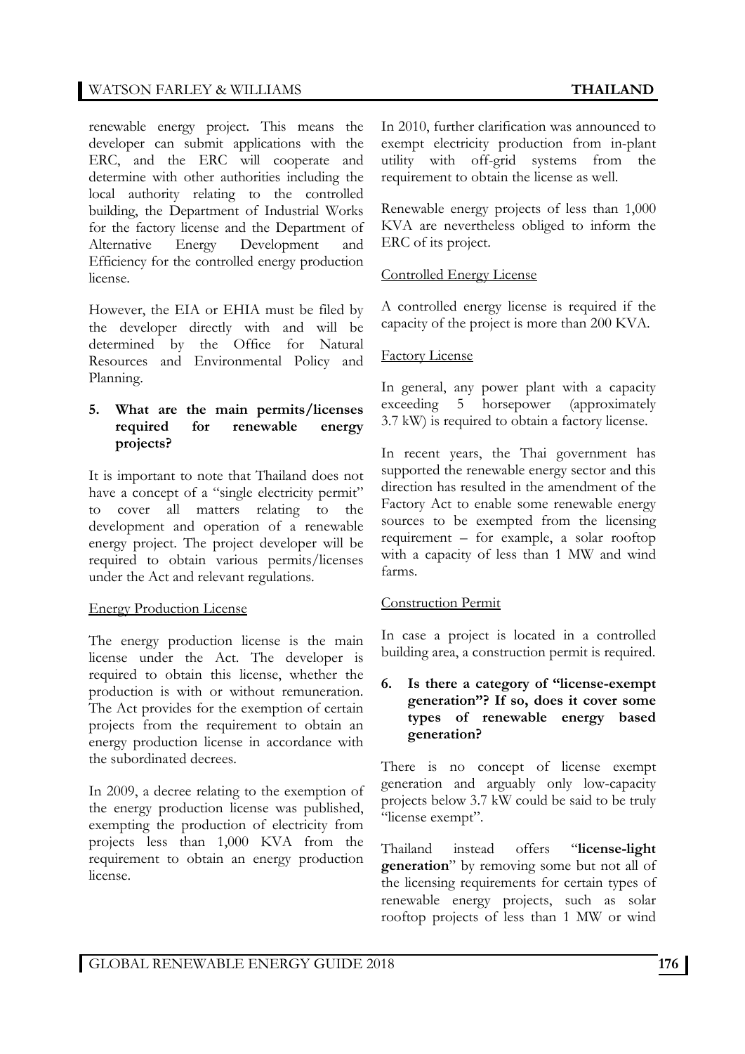#### WATSON FARLEY & WILLIAMS **THAILAND**

renewable energy project. This means the developer can submit applications with the ERC, and the ERC will cooperate and determine with other authorities including the local authority relating to the controlled building, the Department of Industrial Works for the factory license and the Department of Alternative Energy Development and Efficiency for the controlled energy production license.

However, the EIA or EHIA must be filed by the developer directly with and will be determined by the Office for Natural Resources and Environmental Policy and Planning.

#### **5. What are the main permits/licenses required for renewable energy projects?**

It is important to note that Thailand does not have a concept of a "single electricity permit" to cover all matters relating to the development and operation of a renewable energy project. The project developer will be required to obtain various permits/licenses under the Act and relevant regulations.

#### Energy Production License

The energy production license is the main license under the Act. The developer is required to obtain this license, whether the production is with or without remuneration. The Act provides for the exemption of certain projects from the requirement to obtain an energy production license in accordance with the subordinated decrees.

In 2009, a decree relating to the exemption of the energy production license was published, exempting the production of electricity from projects less than 1,000 KVA from the requirement to obtain an energy production license.

In 2010, further clarification was announced to exempt electricity production from in-plant utility with off-grid systems from the requirement to obtain the license as well.

Renewable energy projects of less than 1,000 KVA are nevertheless obliged to inform the ERC of its project.

#### Controlled Energy License

A controlled energy license is required if the capacity of the project is more than 200 KVA.

#### Factory License

In general, any power plant with a capacity exceeding 5 horsepower (approximately 3.7 kW) is required to obtain a factory license.

In recent years, the Thai government has supported the renewable energy sector and this direction has resulted in the amendment of the Factory Act to enable some renewable energy sources to be exempted from the licensing requirement – for example, a solar rooftop with a capacity of less than 1 MW and wind farms.

#### Construction Permit

In case a project is located in a controlled building area, a construction permit is required.

#### **6. Is there a category of "license-exempt generation"? If so, does it cover some types of renewable energy based generation?**

There is no concept of license exempt generation and arguably only low-capacity projects below 3.7 kW could be said to be truly "license exempt".

Thailand instead offers "**license-light generation**" by removing some but not all of the licensing requirements for certain types of renewable energy projects, such as solar rooftop projects of less than 1 MW or wind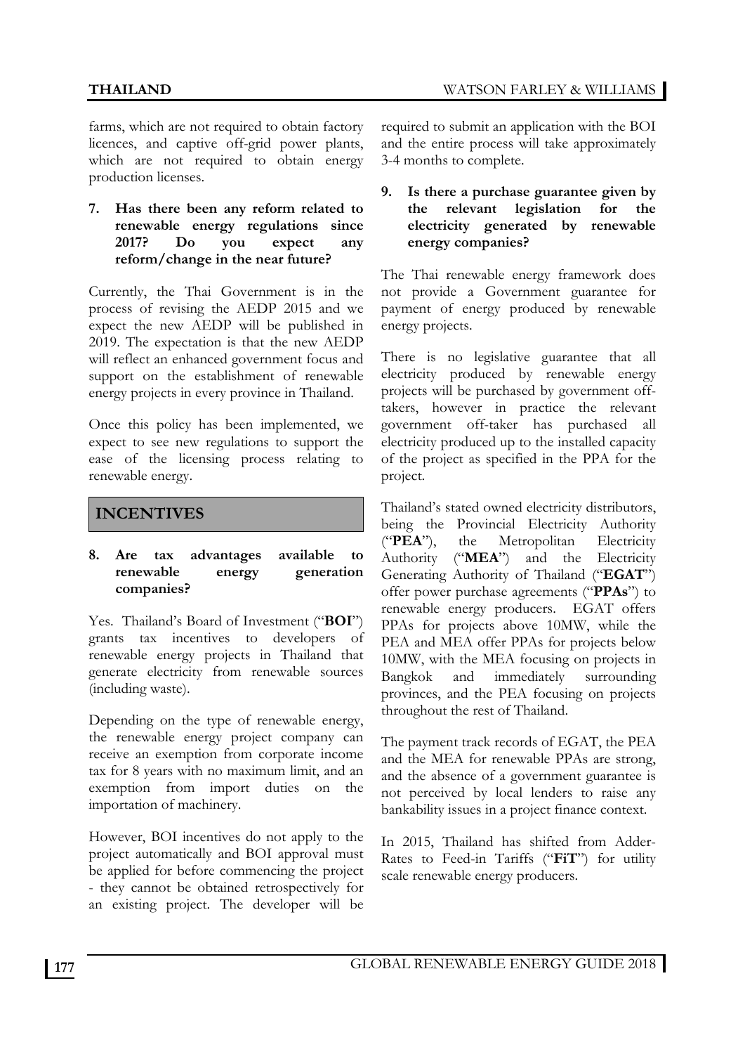farms, which are not required to obtain factory licences, and captive off-grid power plants, which are not required to obtain energy production licenses.

#### **7. Has there been any reform related to renewable energy regulations since 2017? Do you expect any reform/change in the near future?**

Currently, the Thai Government is in the process of revising the AEDP 2015 and we expect the new AEDP will be published in 2019. The expectation is that the new AEDP will reflect an enhanced government focus and support on the establishment of renewable energy projects in every province in Thailand.

Once this policy has been implemented, we expect to see new regulations to support the ease of the licensing process relating to renewable energy.

### **INCENTIVES**

#### **8. Are tax advantages available to renewable energy generation companies?**

Yes. Thailand's Board of Investment ("**BOI**") grants tax incentives to developers of renewable energy projects in Thailand that generate electricity from renewable sources (including waste).

Depending on the type of renewable energy, the renewable energy project company can receive an exemption from corporate income tax for 8 years with no maximum limit, and an exemption from import duties on the importation of machinery.

However, BOI incentives do not apply to the project automatically and BOI approval must be applied for before commencing the project - they cannot be obtained retrospectively for an existing project. The developer will be required to submit an application with the BOI and the entire process will take approximately 3-4 months to complete.

#### **9. Is there a purchase guarantee given by the relevant legislation for the electricity generated by renewable energy companies?**

The Thai renewable energy framework does not provide a Government guarantee for payment of energy produced by renewable energy projects.

There is no legislative guarantee that all electricity produced by renewable energy projects will be purchased by government offtakers, however in practice the relevant government off-taker has purchased all electricity produced up to the installed capacity of the project as specified in the PPA for the project.

Thailand's stated owned electricity distributors, being the Provincial Electricity Authority ("**PEA**"), the Metropolitan Electricity Authority ("**MEA**") and the Electricity Generating Authority of Thailand ("**EGAT**") offer power purchase agreements ("**PPAs**") to renewable energy producers. EGAT offers PPAs for projects above 10MW, while the PEA and MEA offer PPAs for projects below 10MW, with the MEA focusing on projects in Bangkok and immediately surrounding provinces, and the PEA focusing on projects throughout the rest of Thailand.

The payment track records of EGAT, the PEA and the MEA for renewable PPAs are strong, and the absence of a government guarantee is not perceived by local lenders to raise any bankability issues in a project finance context.

In 2015, Thailand has shifted from Adder-Rates to Feed-in Tariffs ("**FiT**") for utility scale renewable energy producers.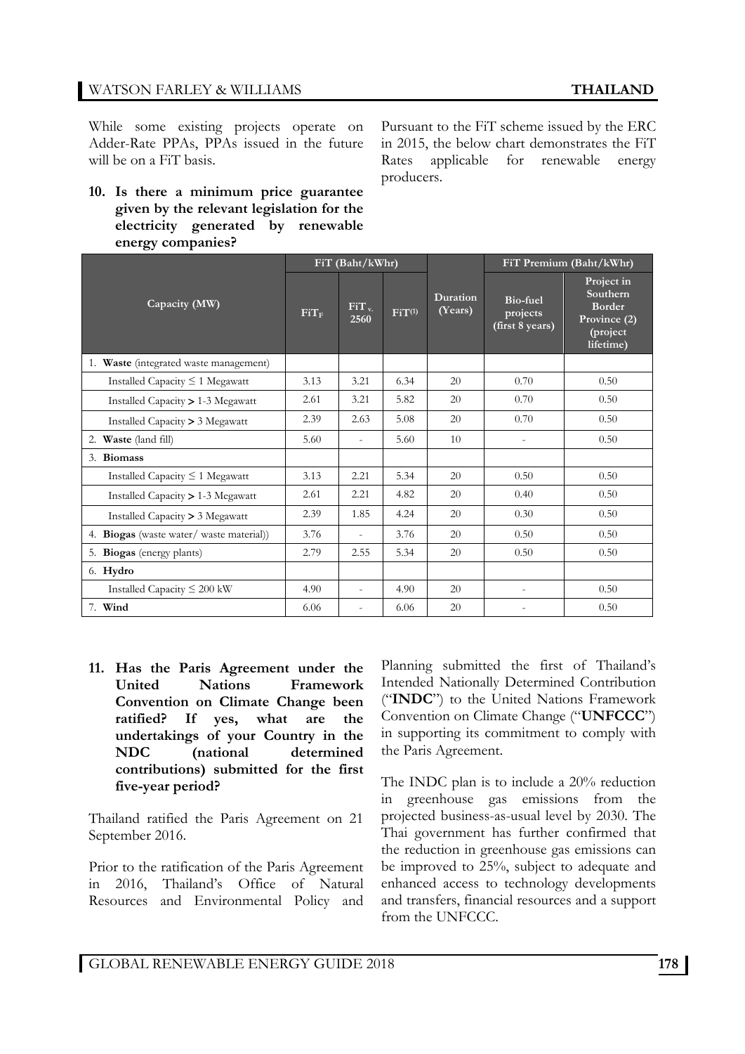While some existing projects operate on Adder-Rate PPAs, PPAs issued in the future will be on a FiT basis.

**10. Is there a minimum price guarantee given by the relevant legislation for the electricity generated by renewable energy companies?** 

Pursuant to the FiT scheme issued by the ERC in 2015, the below chart demonstrates the FiT Rates applicable for renewable energy producers.

| ັັ                                          | FiT (Baht/kWhr) |                          |             | FiT Premium (Baht/kWhr) |                                         |                                                                                  |
|---------------------------------------------|-----------------|--------------------------|-------------|-------------------------|-----------------------------------------|----------------------------------------------------------------------------------|
| Capacity (MW)                               | $FiT_F$         | FiT <sub>v</sub><br>2560 | $FiT^{(1)}$ | Duration<br>(Years)     | Bio-fuel<br>projects<br>(first 8 years) | Project in<br>Southern<br><b>Border</b><br>Province (2)<br>(project<br>lifetime) |
| 1. Waste (integrated waste management)      |                 |                          |             |                         |                                         |                                                                                  |
| Installed Capacity $\leq 1$ Megawatt        | 3.13            | 3.21                     | 6.34        | 20                      | 0.70                                    | 0.50                                                                             |
| Installed Capacity $> 1-3$ Megawatt         | 2.61            | 3.21                     | 5.82        | 20                      | 0.70                                    | 0.50                                                                             |
| Installed Capacity > 3 Megawatt             | 2.39            | 2.63                     | 5.08        | 20                      | 0.70                                    | 0.50                                                                             |
| 2. Waste (land fill)                        | 5.60            | $\overline{a}$           | 5.60        | 10                      |                                         | 0.50                                                                             |
| <b>Biomass</b><br>3.                        |                 |                          |             |                         |                                         |                                                                                  |
| Installed Capacity $\leq 1$ Megawatt        | 3.13            | 2.21                     | 5.34        | 20                      | 0.50                                    | 0.50                                                                             |
| Installed Capacity > 1-3 Megawatt           | 2.61            | 2.21                     | 4.82        | 20                      | 0.40                                    | 0.50                                                                             |
| Installed Capacity > 3 Megawatt             | 2.39            | 1.85                     | 4.24        | 20                      | 0.30                                    | 0.50                                                                             |
| Biogas (waste water/ waste material))<br>4. | 3.76            |                          | 3.76        | 20                      | 0.50                                    | 0.50                                                                             |
| <b>Biogas</b> (energy plants)<br>5.         | 2.79            | 2.55                     | 5.34        | 20                      | 0.50                                    | 0.50                                                                             |
| 6. Hydro                                    |                 |                          |             |                         |                                         |                                                                                  |
| Installed Capacity $\leq 200$ kW            | 4.90            | $\overline{a}$           | 4.90        | 20                      |                                         | 0.50                                                                             |
| 7. Wind                                     | 6.06            | $\overline{a}$           | 6.06        | 20                      |                                         | 0.50                                                                             |

**11. Has the Paris Agreement under the United Nations Framework Convention on Climate Change been ratified? If yes, what are the undertakings of your Country in the NDC (national determined contributions) submitted for the first five-year period?** 

Thailand ratified the Paris Agreement on 21 September 2016.

Prior to the ratification of the Paris Agreement in 2016, Thailand's Office of Natural Resources and Environmental Policy and

Planning submitted the first of Thailand's Intended Nationally Determined Contribution ("**INDC**") to the United Nations Framework Convention on Climate Change ("**UNFCCC**") in supporting its commitment to comply with the Paris Agreement.

The INDC plan is to include a 20% reduction in greenhouse gas emissions from the projected business-as-usual level by 2030. The Thai government has further confirmed that the reduction in greenhouse gas emissions can be improved to 25%, subject to adequate and enhanced access to technology developments and transfers, financial resources and a support from the UNFCCC.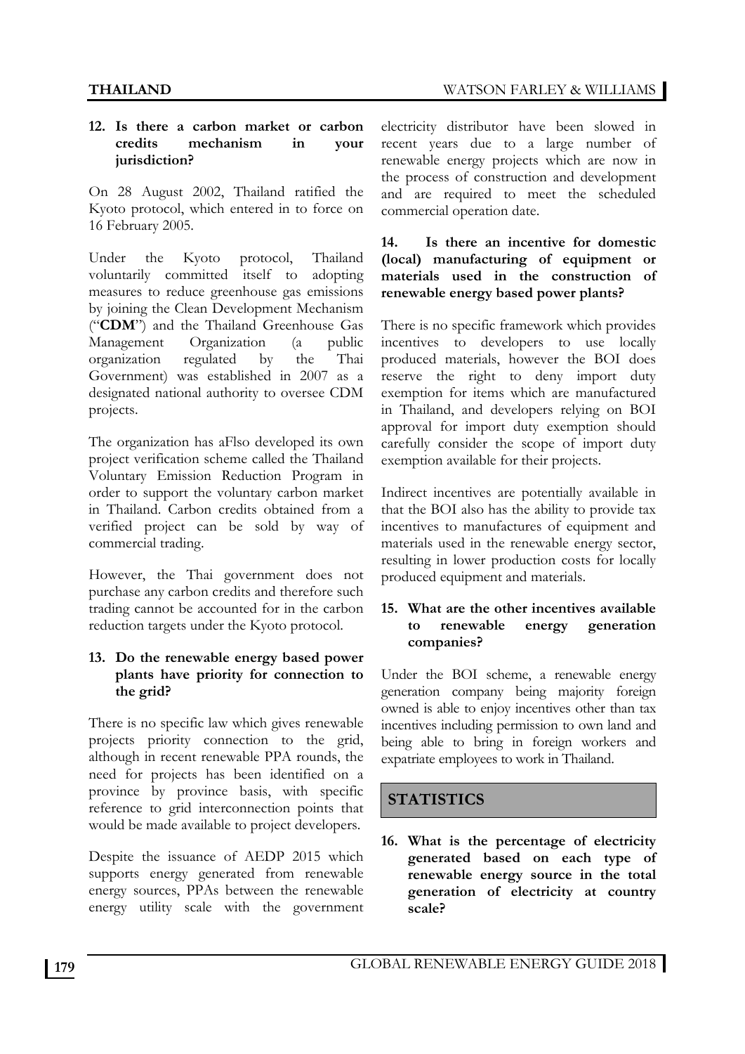#### **12. Is there a carbon market or carbon credits mechanism in your jurisdiction?**

On 28 August 2002, Thailand ratified the Kyoto protocol, which entered in to force on 16 February 2005.

Under the Kyoto protocol, Thailand voluntarily committed itself to adopting measures to reduce greenhouse gas emissions by joining the Clean Development Mechanism ("**CDM**") and the Thailand Greenhouse Gas Management Organization (a public organization regulated by the Thai Government) was established in 2007 as a designated national authority to oversee CDM projects.

The organization has aFlso developed its own project verification scheme called the Thailand Voluntary Emission Reduction Program in order to support the voluntary carbon market in Thailand. Carbon credits obtained from a verified project can be sold by way of commercial trading.

However, the Thai government does not purchase any carbon credits and therefore such trading cannot be accounted for in the carbon reduction targets under the Kyoto protocol.

#### **13. Do the renewable energy based power plants have priority for connection to the grid?**

There is no specific law which gives renewable projects priority connection to the grid, although in recent renewable PPA rounds, the need for projects has been identified on a province by province basis, with specific reference to grid interconnection points that would be made available to project developers.

Despite the issuance of AEDP 2015 which supports energy generated from renewable energy sources, PPAs between the renewable energy utility scale with the government

electricity distributor have been slowed in recent years due to a large number of renewable energy projects which are now in the process of construction and development and are required to meet the scheduled commercial operation date.

#### **14. Is there an incentive for domestic (local) manufacturing of equipment or materials used in the construction of renewable energy based power plants?**

There is no specific framework which provides incentives to developers to use locally produced materials, however the BOI does reserve the right to deny import duty exemption for items which are manufactured in Thailand, and developers relying on BOI approval for import duty exemption should carefully consider the scope of import duty exemption available for their projects.

Indirect incentives are potentially available in that the BOI also has the ability to provide tax incentives to manufactures of equipment and materials used in the renewable energy sector, resulting in lower production costs for locally produced equipment and materials.

#### **15. What are the other incentives available to renewable energy generation companies?**

Under the BOI scheme, a renewable energy generation company being majority foreign owned is able to enjoy incentives other than tax incentives including permission to own land and being able to bring in foreign workers and expatriate employees to work in Thailand.

# **STATISTICS**

**16. What is the percentage of electricity generated based on each type of renewable energy source in the total generation of electricity at country scale?**